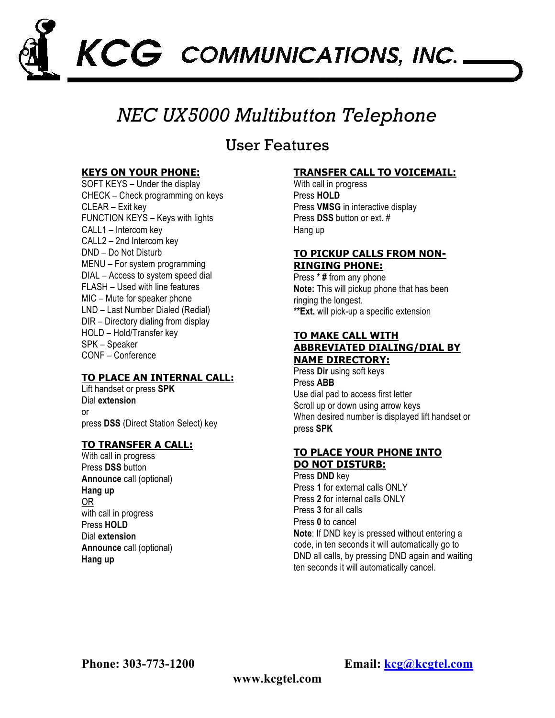

# *NEC UX5000 Multibutton Telephone*

# **IIser Features**

### **KEYS ON YOUR PHONE:**

SOFT KEYS – Under the display CHECK – Check programming on keys CLEAR – Exit key FUNCTION KEYS – Keys with lights CALL1 – Intercom key CALL2 – 2nd Intercom key DND – Do Not Disturb MENU – For system programming DIAL – Access to system speed dial FLASH – Used with line features MIC – Mute for speaker phone LND – Last Number Dialed (Redial) DIR – Directory dialing from display HOLD – Hold/Transfer key SPK – Speaker CONF – Conference

## **TO PLACE AN INTERNAL CALL:**

Lift handset or press **SPK** Dial **extension**  or press **DSS** (Direct Station Select) key

### **TO TRANSFER A CALL:**

With call in progress Press **DSS** button **Announce** call (optional) **Hang up** OR with call in progress Press **HOLD** Dial **extension Announce** call (optional) **Hang up**

### **TRANSFER CALL TO VOICEMAIL:**

With call in progress Press **HOLD** Press **VMSG** in interactive display Press **DSS** button or ext. # Hang up

### **TO PICKUP CALLS FROM NON-RINGING PHONE:**

Press **\* #** from any phone **Note:** This will pickup phone that has been ringing the longest. **\*\*Ext.** will pick-up a specific extension

### **TO MAKE CALL WITH ABBREVIATED DIALING/DIAL BY NAME DIRECTORY:**

Press **Dir** using soft keys Press **ABB** Use dial pad to access first letter Scroll up or down using arrow keys When desired number is displayed lift handset or press **SPK**

### **TO PLACE YOUR PHONE INTO DO NOT DISTURB:**

Press **DND** key Press **1** for external calls ONLY Press **2** for internal calls ONLY Press **3** for all calls Press **0** to cancel **Note**: If DND key is pressed without entering a code, in ten seconds it will automatically go to DND all calls, by pressing DND again and waiting ten seconds it will automatically cancel.

**Phone: 303-773-1200 Email: kcg@kcgtel.com**